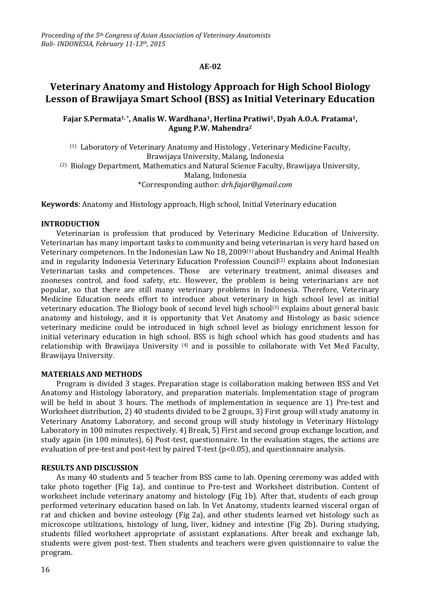### **AE-02**

# **Veterinary Anatomy and Histology Approach for High School Biology Lesson of Brawijaya Smart School (BSS) as Initial Veterinary Education**

## **Fajar S.Permata1, \*, Analis W. Wardhana1, Herlina Pratiwi1, Dyah A.O.A. Pratama1, Agung P.W. Mahendra<sup>2</sup>**

(1) Laboratory of Veterinary Anatomy and Histology , Veterinary Medicine Faculty, Brawijaya University, Malang, Indonesia (2) Biology Department, Mathematics and Natural Science Faculty, Brawijaya University, Malang, Indonesia \*Corresponding author: *drh.fajar@gmail.com*

**Keywords**: Anatomy and Histology approach, High school, Initial Veterinary education

#### **INTRODUCTION**

Veterinarian is profession that produced by Veterinary Medicine Education of University. Veterinarian has many important tasks to community and being veterinarian is very hard based on Veterinary competences. In the Indonesian Law No 18, 2009(1) about Husbandry and Animal Health and in regularity Indonesia Veterinary Education Profession Council<sup>(2)</sup> explains about Indonesian Veterinarian tasks and competences. Those are veterinary treatment, animal diseases and zooneses control, and food safety, etc. However, the problem is being veterinarians are not popular, so that there are still many veterinary problems in Indonesia. Therefore, Veterinary Medicine Education needs effort to introduce about veterinary in high school level as initial veterinary education. The Biology book of second level high school<sup>(3)</sup> explains about general basic anatomy and histology, and it is opportunity that Vet Anatomy and Histology as basic science veterinary medicine could be introduced in high school level as biology enrichment lesson for initial veterinary education in high school. BSS is high school which has good students and has relationship with Brawijaya University (4) and is possible to collaborate with Vet Med Faculty, Brawijaya University.

#### **MATERIALS AND METHODS**

Program is divided 3 stages. Preparation stage is collaboration making between BSS and Vet Anatomy and Histology laboratory, and preparation materials. Implementation stage of program will be held in about 3 hours. The methods of implementation in sequence are 1) Pre-test and Worksheet distribution, 2) 40 students divided to be 2 groups, 3) First group will study anatomy in Veterinary Anatomy Laboratory, and second group will study histology in Veterinary Histology Laboratory in 100 minutes respectively. 4) Break, 5) First and second group exchange location, and study again (in 100 minutes), 6) Post-test, questionnaire. In the evaluation stages, the actions are evaluation of pre-test and post-test by paired T-test (p<0.05), and questionnaire analysis.

#### **RESULTS AND DISCUSSION**

As many 40 students and 5 teacher from BSS came to lab. Opening ceremony was added with take photo together (Fig 1a), and continue to Pre-test and Worksheet distribution. Content of worksheet include veterinary anatomy and histology (Fig 1b). After that, students of each group performed veterinary education based on lab. In Vet Anatomy, students learned visceral organ of rat and chicken and bovine osteology (Fig 2a), and other students learned vet histology such as microscope utilizations, histology of lung, liver, kidney and intestine (Fig 2b). During studying, students filled worksheet appropriate of assistant explanations. After break and exchange lab, students were given post-test. Then students and teachers were given quistionnaire to value the program.